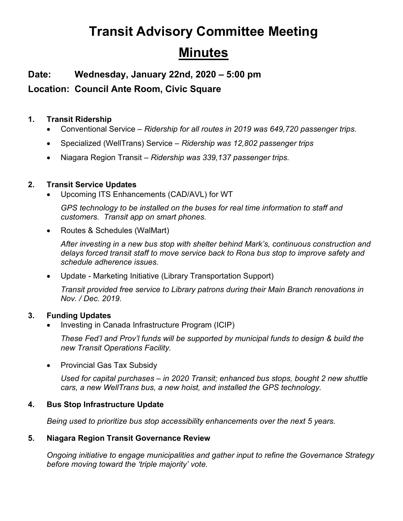# **Transit Advisory Committee Meeting Minutes**

**Date: Wednesday, January 22nd, 2020 – 5:00 pm**

**Location: Council Ante Room, Civic Square**

## **1. Transit Ridership**

- Conventional Service *Ridership for all routes in 2019 was 649,720 passenger trips.*
- Specialized (WellTrans) Service *Ridership was 12,802 passenger trips*
- Niagara Region Transit *Ridership was 339,137 passenger trips.*

## **2. Transit Service Updates**

• Upcoming ITS Enhancements (CAD/AVL) for WT

*GPS technology to be installed on the buses for real time information to staff and customers. Transit app on smart phones.*

• Routes & Schedules (WalMart)

*After investing in a new bus stop with shelter behind Mark's, continuous construction and delays forced transit staff to move service back to Rona bus stop to improve safety and schedule adherence issues.*

• Update - Marketing Initiative (Library Transportation Support)

*Transit provided free service to Library patrons during their Main Branch renovations in Nov. / Dec. 2019.*

# **3. Funding Updates**

• Investing in Canada Infrastructure Program (ICIP)

*These Fed'l and Prov'l funds will be supported by municipal funds to design & build the new Transit Operations Facility.*

• Provincial Gas Tax Subsidy

*Used for capital purchases – in 2020 Transit; enhanced bus stops, bought 2 new shuttle cars, a new WellTrans bus, a new hoist, and installed the GPS technology.*

# **4. Bus Stop Infrastructure Update**

*Being used to prioritize bus stop accessibility enhancements over the next 5 years.*

#### **5. Niagara Region Transit Governance Review**

*Ongoing initiative to engage municipalities and gather input to refine the Governance Strategy before moving toward the 'triple majority' vote.*